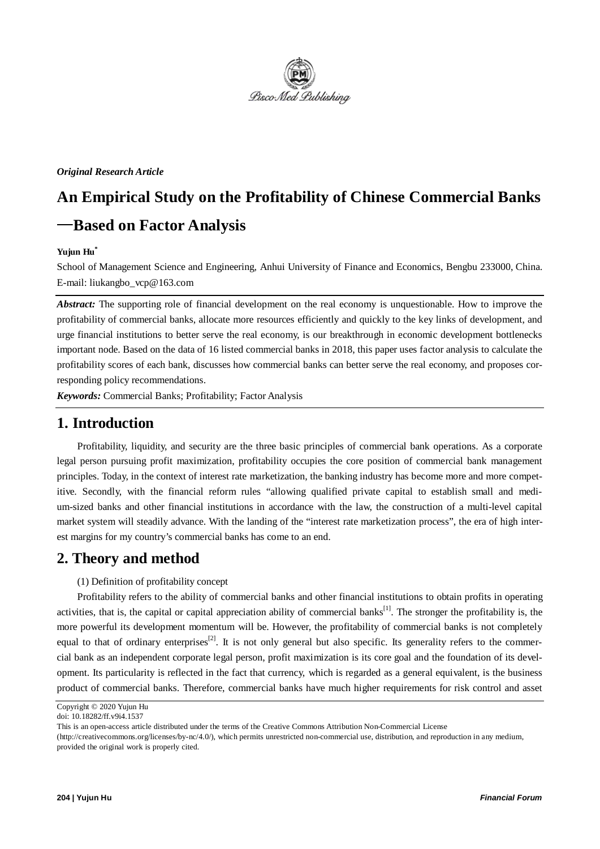

#### *Original Research Article*

# **An Empirical Study on the Profitability of Chinese Commercial Banks** —**Based on Factor Analysis**

#### **Yujun Hu\***

School of Management Science and Engineering, Anhui University of Finance and Economics, Bengbu 233000, China. E-mail: liukangbo\_vcp@163.com

*Abstract:* The supporting role of financial development on the real economy is unquestionable. How to improve the profitability of commercial banks, allocate more resources efficiently and quickly to the key links of development, and urge financial institutions to better serve the real economy, is our breakthrough in economic development bottlenecks important node. Based on the data of 16 listed commercial banks in 2018, this paper uses factor analysis to calculate the profitability scores of each bank, discusses how commercial banks can better serve the real economy, and proposes corresponding policy recommendations.

*Keywords:* Commercial Banks; Profitability; Factor Analysis

### **1. Introduction**

Profitability, liquidity, and security are the three basic principles of commercial bank operations. As a corporate legal person pursuing profit maximization, profitability occupies the core position of commercial bank management principles. Today, in the context of interest rate marketization, the banking industry has become more and more competitive. Secondly, with the financial reform rules "allowing qualified private capital to establish small and medium-sized banks and other financial institutions in accordance with the law, the construction of a multi-level capital market system will steadily advance. With the landing of the "interest rate marketization process", the era of high interest margins for my country's commercial banks has come to an end.

## **2. Theory and method**

(1) Definition of profitability concept

Profitability refers to the ability of commercial banks and other financial institutions to obtain profits in operating activities, that is, the capital or capital appreciation ability of commercial banks<sup>[1]</sup>. The stronger the profitability is, the more powerful its development momentum will be. However, the profitability of commercial banks is not completely equal to that of ordinary enterprises<sup>[2]</sup>. It is not only general but also specific. Its generality refers to the commercial bank as an independent corporate legal person, profit maximization is its core goal and the foundation of its development. Its particularity is reflected in the fact that currency, which is regarded as a general equivalent, is the business product of commercial banks. Therefore, commercial banks have much higher requirements for risk control and asset

Copyright © 2020 Yujun Hu doi: 10.18282/ff.v9i4.1537

This is an open-access article distributed under the terms of the Creative Commons Attribution Non-Commercial License

<sup>(</sup>http://creativecommons.org/licenses/by-nc/4.0/), which permits unrestricted non-commercial use, distribution, and reproduction in any medium, provided the original work is properly cited.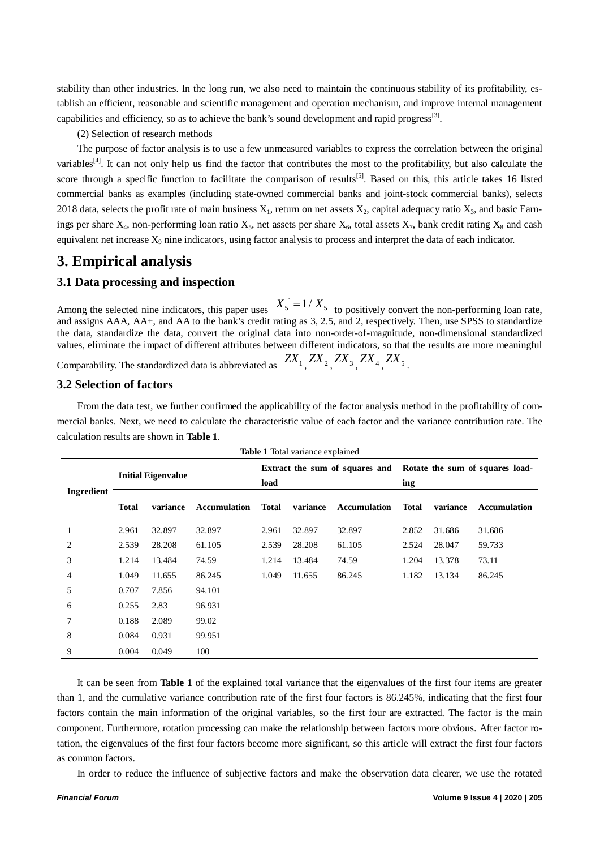stability than other industries. In the long run, we also need to maintain the continuous stability of its profitability, establish an efficient, reasonable and scientific management and operation mechanism, and improve internal management capabilities and efficiency, so as to achieve the bank's sound development and rapid progress<sup>[3]</sup>.

#### (2) Selection of research methods

The purpose of factor analysis is to use a few unmeasured variables to express the correlation between the original variables<sup>[4]</sup>. It can not only help us find the factor that contributes the most to the profitability, but also calculate the score through a specific function to facilitate the comparison of results<sup>[5]</sup>. Based on this, this article takes 16 listed commercial banks as examples (including state-owned commercial banks and joint-stock commercial banks), selects 2018 data, selects the profit rate of main business  $X_1$ , return on net assets  $X_2$ , capital adequacy ratio  $X_3$ , and basic Earnings per share  $X_4$ , non-performing loan ratio  $X_5$ , net assets per share  $X_6$ , total assets  $X_7$ , bank credit rating  $X_8$  and cash equivalent net increase  $X_9$  nine indicators, using factor analysis to process and interpret the data of each indicator.

## **3. Empirical analysis**

#### **3.1 Data processing and inspection**

Among the selected nine indicators, this paper uses  $X_5 = 1/X_5$  to positively convert the non-performing loan rate, and assigns AAA, AA+, and AA to the bank's credit rating as 3, 2.5, and 2, respectively. Then, use SPSS to standardize the data, standardize the data, convert the original data into non-order-of-magnitude, non-dimensional standardized values, eliminate the impact of different attributes between different indicators, so that the results are more meaningful

Comparability. The standardized data is abbreviated as  $ZX_1$ ,  $ZX_2$ ,  $ZX_3$ ,  $ZX_4$ ,  $ZX_5$ .

#### **3.2 Selection of factors**

From the data test, we further confirmed the applicability of the factor analysis method in the profitability of commercial banks. Next, we need to calculate the characteristic value of each factor and the variance contribution rate. The calculation results are shown in **Table 1**.

**Table 1** Total variance explained

| <b>Table 1</b> Total variance explained |                           |          |                     |                                |          |                     |                                 |          |                     |
|-----------------------------------------|---------------------------|----------|---------------------|--------------------------------|----------|---------------------|---------------------------------|----------|---------------------|
| Ingredient                              | <b>Initial Eigenvalue</b> |          |                     | Extract the sum of squares and |          |                     | Rotate the sum of squares load- |          |                     |
|                                         |                           |          |                     | load                           |          |                     | ing                             |          |                     |
|                                         | <b>Total</b>              | variance | <b>Accumulation</b> | <b>Total</b>                   | variance | <b>Accumulation</b> | <b>Total</b>                    | variance | <b>Accumulation</b> |
| 1                                       | 2.961                     | 32.897   | 32.897              | 2.961                          | 32.897   | 32.897              | 2.852                           | 31.686   | 31.686              |
| 2                                       | 2.539                     | 28.208   | 61.105              | 2.539                          | 28.208   | 61.105              | 2.524                           | 28.047   | 59.733              |
| 3                                       | 1.214                     | 13.484   | 74.59               | 1.214                          | 13.484   | 74.59               | 1.204                           | 13.378   | 73.11               |
| 4                                       | 1.049                     | 11.655   | 86.245              | 1.049                          | 11.655   | 86.245              | 1.182                           | 13.134   | 86.245              |
| 5                                       | 0.707                     | 7.856    | 94.101              |                                |          |                     |                                 |          |                     |
| 6                                       | 0.255                     | 2.83     | 96.931              |                                |          |                     |                                 |          |                     |
| 7                                       | 0.188                     | 2.089    | 99.02               |                                |          |                     |                                 |          |                     |
| 8                                       | 0.084                     | 0.931    | 99.951              |                                |          |                     |                                 |          |                     |
| 9                                       | 0.004                     | 0.049    | 100                 |                                |          |                     |                                 |          |                     |

It can be seen from **Table 1** of the explained total variance that the eigenvalues of the first four items are greater than 1, and the cumulative variance contribution rate of the first four factors is 86.245%, indicating that the first four factors contain the main information of the original variables, so the first four are extracted. The factor is the main component. Furthermore, rotation processing can make the relationship between factors more obvious. After factor rotation, the eigenvalues of the first four factors become more significant, so this article will extract the first four factors as common factors.

In order to reduce the influence of subjective factors and make the observation data clearer, we use the rotated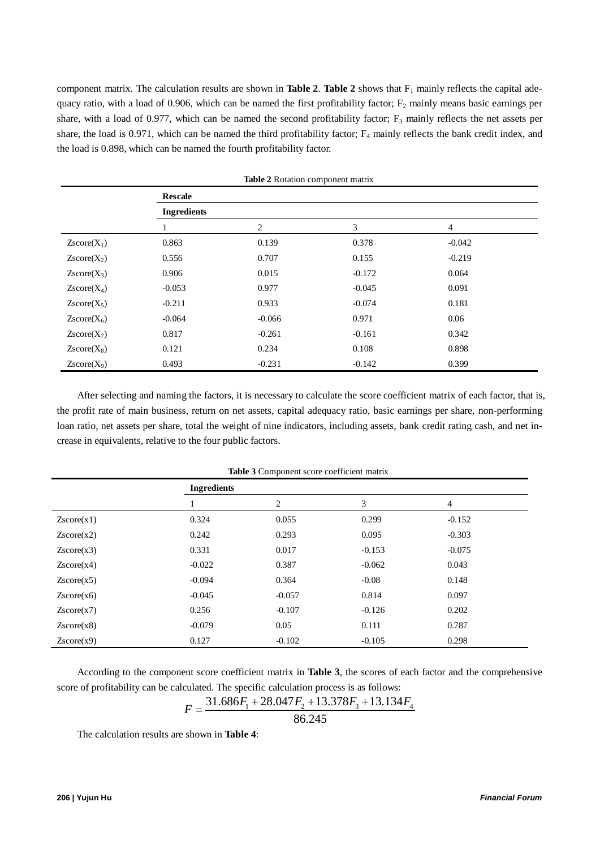component matrix. The calculation results are shown in **Table 2**. **Table 2** shows that  $F_1$  mainly reflects the capital adequacy ratio, with a load of 0.906, which can be named the first profitability factor;  $F_2$  mainly means basic earnings per share, with a load of 0.977, which can be named the second profitability factor;  $F_3$  mainly reflects the net assets per share, the load is 0.971, which can be named the third profitability factor; F<sub>4</sub> mainly reflects the bank credit index, and the load is 0.898, which can be named the fourth profitability factor.

| <b>Table 2</b> Rotation component matrix |                    |          |          |                |  |  |
|------------------------------------------|--------------------|----------|----------|----------------|--|--|
|                                          | <b>Rescale</b>     |          |          |                |  |  |
|                                          | <b>Ingredients</b> |          |          |                |  |  |
|                                          |                    | 2        | 3        | $\overline{4}$ |  |  |
| $Zscore(X_1)$                            | 0.863              | 0.139    | 0.378    | $-0.042$       |  |  |
| $Zscore(X_2)$                            | 0.556              | 0.707    | 0.155    | $-0.219$       |  |  |
| $Zscore(X_3)$                            | 0.906              | 0.015    | $-0.172$ | 0.064          |  |  |
| $Zscore(X_4)$                            | $-0.053$           | 0.977    | $-0.045$ | 0.091          |  |  |
| $Zscore(X_5)$                            | $-0.211$           | 0.933    | $-0.074$ | 0.181          |  |  |
| $Zscore(X_6)$                            | $-0.064$           | $-0.066$ | 0.971    | 0.06           |  |  |
| $Zscore(X_7)$                            | 0.817              | $-0.261$ | $-0.161$ | 0.342          |  |  |
| $Zscore(X_8)$                            | 0.121              | 0.234    | 0.108    | 0.898          |  |  |
| $Zscore(X_9)$                            | 0.493              | $-0.231$ | $-0.142$ | 0.399          |  |  |

After selecting and naming the factors, it is necessary to calculate the score coefficient matrix of each factor, that is, the profit rate of main business, return on net assets, capital adequacy ratio, basic earnings per share, non-performing loan ratio, net assets per share, total the weight of nine indicators, including assets, bank credit rating cash, and net increase in equivalents, relative to the four public factors.

|            | <b>Ingredients</b> |          |          |          |  |  |
|------------|--------------------|----------|----------|----------|--|--|
|            |                    | 2        | 3        | 4        |  |  |
| Zscore(x1) | 0.324              | 0.055    | 0.299    | $-0.152$ |  |  |
| Zscore(x2) | 0.242              | 0.293    | 0.095    | $-0.303$ |  |  |
| Zscore(x3) | 0.331              | 0.017    | $-0.153$ | $-0.075$ |  |  |
| Zscore(x4) | $-0.022$           | 0.387    | $-0.062$ | 0.043    |  |  |
| Zscore(x5) | $-0.094$           | 0.364    | $-0.08$  | 0.148    |  |  |
| Zscore(x6) | $-0.045$           | $-0.057$ | 0.814    | 0.097    |  |  |
| Zscore(x7) | 0.256              | $-0.107$ | $-0.126$ | 0.202    |  |  |
| Zscore(x8) | $-0.079$           | 0.05     | 0.111    | 0.787    |  |  |
| Zscore(x9) | 0.127              | $-0.102$ | $-0.105$ | 0.298    |  |  |

**Table 3** Component score coefficient matrix

According to the component score coefficient matrix in **Table 3**, the scores of each factor and the comprehensive score of profitability can be calculated. The specific calculation process is as follows:

$$
F = \frac{31.686F_1 + 28.047F_2 + 13.378F_3 + 13.134F_4}{86.245}
$$

86.245

The calculation results are shown in **Table 4**: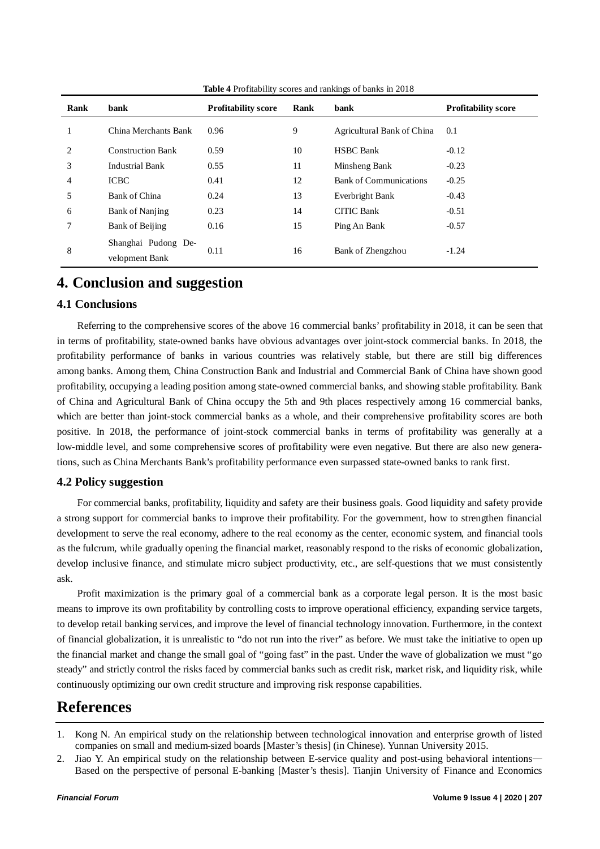| Rank           | bank                                  | <b>Profitability score</b> | bank<br>Rank |                               | <b>Profitability score</b> |
|----------------|---------------------------------------|----------------------------|--------------|-------------------------------|----------------------------|
|                | China Merchants Bank                  | 0.96                       | 9            | Agricultural Bank of China    | 0.1                        |
| $\overline{c}$ | <b>Construction Bank</b>              | 0.59                       | 10           | <b>HSBC</b> Bank              | $-0.12$                    |
| 3              | <b>Industrial Bank</b>                | 0.55                       | 11           | Minsheng Bank                 | $-0.23$                    |
| $\overline{4}$ | <b>ICBC</b>                           | 0.41                       | 12           | <b>Bank of Communications</b> | $-0.25$                    |
| 5              | Bank of China                         | 0.24                       | 13           | Everbright Bank               | $-0.43$                    |
| 6              | Bank of Nanjing                       | 0.23                       | 14           | <b>CITIC Bank</b>             | $-0.51$                    |
| 7              | Bank of Beijing                       | 0.16                       | 15           | Ping An Bank                  | $-0.57$                    |
| 8              | Shanghai Pudong De-<br>velopment Bank | 0.11                       | 16           | Bank of Zhengzhou             | $-1.24$                    |

**Table 4** Profitability scores and rankings of banks in 2018

## **4. Conclusion and suggestion**

#### **4.1 Conclusions**

Referring to the comprehensive scores of the above 16 commercial banks' profitability in 2018, it can be seen that in terms of profitability, state-owned banks have obvious advantages over joint-stock commercial banks. In 2018, the profitability performance of banks in various countries was relatively stable, but there are still big differences among banks. Among them, China Construction Bank and Industrial and Commercial Bank of China have shown good profitability, occupying a leading position among state-owned commercial banks, and showing stable profitability. Bank of China and Agricultural Bank of China occupy the 5th and 9th places respectively among 16 commercial banks, which are better than joint-stock commercial banks as a whole, and their comprehensive profitability scores are both positive. In 2018, the performance of joint-stock commercial banks in terms of profitability was generally at a low-middle level, and some comprehensive scores of profitability were even negative. But there are also new generations, such as China Merchants Bank's profitability performance even surpassed state-owned banks to rank first.

#### **4.2 Policy suggestion**

For commercial banks, profitability, liquidity and safety are their business goals. Good liquidity and safety provide a strong support for commercial banks to improve their profitability. For the government, how to strengthen financial development to serve the real economy, adhere to the real economy as the center, economic system, and financial tools as the fulcrum, while gradually opening the financial market, reasonably respond to the risks of economic globalization, develop inclusive finance, and stimulate micro subject productivity, etc., are self-questions that we must consistently ask.

Profit maximization is the primary goal of a commercial bank as a corporate legal person. It is the most basic means to improve its own profitability by controlling costs to improve operational efficiency, expanding service targets, to develop retail banking services, and improve the level of financial technology innovation. Furthermore, in the context of financial globalization, it is unrealistic to "do not run into the river" as before. We must take the initiative to open up the financial market and change the small goal of "going fast" in the past. Under the wave of globalization we must "go steady" and strictly control the risks faced by commercial banks such as credit risk, market risk, and liquidity risk, while continuously optimizing our own credit structure and improving risk response capabilities.

## **References**

- 1. Kong N. An empirical study on the relationship between technological innovation and enterprise growth of listed companies on small and medium-sized boards [Master's thesis] (in Chinese). Yunnan University 2015.
- 2. Jiao Y. An empirical study on the relationship between E-service quality and post-using behavioral intentions— Based on the perspective of personal E-banking [Master's thesis]. Tianjin University of Finance and Economics